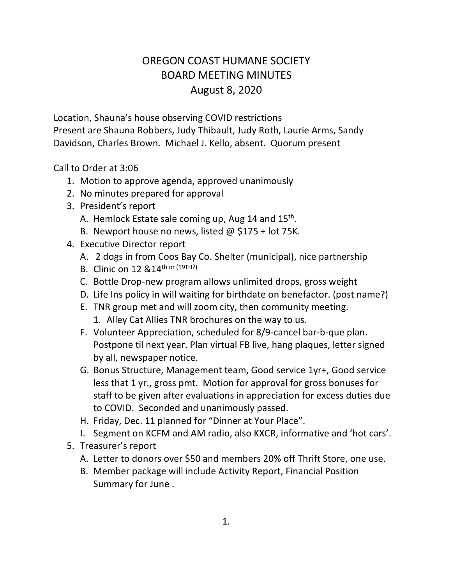## OREGON COAST HUMANE SOCIETY BOARD MEETING MINUTES August 8, 2020

Location, Shauna's house observing COVID restrictions Present are Shauna Robbers, Judy Thibault, Judy Roth, Laurie Arms, Sandy Davidson, Charles Brown. Michael J. Kello, absent. Quorum present

Call to Order at 3:06

- 1. Motion to approve agenda, approved unanimously
- 2. No minutes prepared for approval
- 3. President's report
	- A. Hemlock Estate sale coming up, Aug 14 and 15<sup>th</sup>.
	- B. Newport house no news, listed  $\omega$  \$175 + lot 75K.
- 4. Executive Director report
	- A. 2 dogs in from Coos Bay Co. Shelter (municipal), nice partnership
	- B. Clinic on 12 &14th or (19TH?)
	- C. Bottle Drop-new program allows unlimited drops, gross weight
	- D. Life Ins policy in will waiting for birthdate on benefactor. (post name?)
	- E. TNR group met and will zoom city, then community meeting.
		- 1. Alley Cat Allies TNR brochures on the way to us.
	- F. Volunteer Appreciation, scheduled for 8/9-cancel bar-b-que plan. Postpone til next year. Plan virtual FB live, hang plaques, letter signed by all, newspaper notice.
	- G. Bonus Structure, Management team, Good service 1yr+, Good service less that 1 yr., gross pmt. Motion for approval for gross bonuses for staff to be given after evaluations in appreciation for excess duties due to COVID. Seconded and unanimously passed.
	- H. Friday, Dec. 11 planned for "Dinner at Your Place".
	- I. Segment on KCFM and AM radio, also KXCR, informative and 'hot cars'.
- 5. Treasurer's report
	- A. Letter to donors over \$50 and members 20% off Thrift Store, one use.
	- B. Member package will include Activity Report, Financial Position Summary for June .